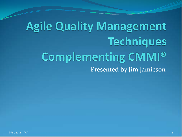# **Agile Quality Management Techniques** Complementing CMMI® Presented by Jim Jamieson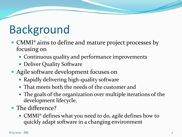# Background

- CMMI<sup>®</sup> aims to define and mature project processes by focusing on
	- Continuous quality and performance improvements
	- Deliver Quality Software
- Agile software development focuses on
	- Rapidly delivering high-quality software
	- That meets both the needs of the customer and
	- The goals of the organization over multiple iterations of the development lifecycle.
- The difference?
	- CMMI® defines what you need to do, agile defines how to quickly adapt software in a changing environment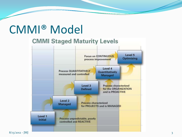### CMMI® Model

#### **CMMI Staged Maturity Levels**

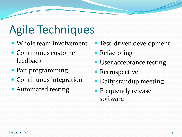# Agile Techniques

- Whole team involvement
- Continuous customer feedback
- Pair programming
- Continuous integration
- Automated testing
- Test-driven development
- Refactoring
- User acceptance testing
- Retrospective
- Daily standup meeting
- Frequently release software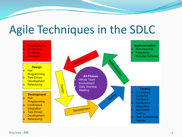### Agile Techniques in the SDLC

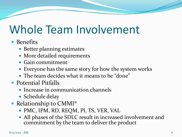# Whole Team Involvement

#### • Benefits

- Better planning estimates
- More detailed requirements
- Gain commitment
- Everyone has the same story for how the system works
- The team decides what it means to be "done"
- Potential Pitfalls
	- Increase in communication channels
	- Schedule delay
- Relationship to CMMI®
	- PMC, IPM, RD, REQM, PI, TS, VER, VAL
	- All phases of the SDLC result in increased involvement and commitment by the team to deliver the product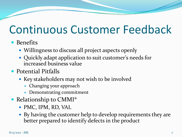## Continuous Customer Feedback

#### • Benefits

- Willingness to discuss all project aspects openly
- Quickly adapt application to suit customer's needs for increased business value
- Potential Pitfalls
	- Key stakeholders may not wish to be involved
		- Changing your approach
		- Demonstrating commitment
- Relationship to CMMI®
	- PMC, IPM, RD, VAL
	- By having the customer help to develop requirements they are better prepared to identify defects in the product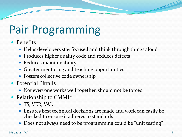# Pair Programming

- Benefits
	- Helps developers stay focused and think through things aloud
	- Produces higher quality code and reduces defects
	- Reduces maintainability
	- Greater mentoring and teaching opportunities
	- Fosters collective code ownership
- Potential Pitfalls
	- Not everyone works well together, should not be forced
- Relationship to CMMI<sup>®</sup>
	- TS, VER, VAL
	- Ensures best technical decisions are made and work can easily be checked to ensure it adheres to standards
	- Does not always need to be programming could be "unit testing"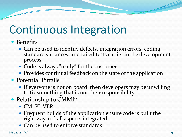# Continuous Integration

- **•** Benefits
	- Can be used to identify defects, integration errors, coding standard variances, and failed tests earlier in the development process
	- Code is always "ready" for the customer
	- Provides continual feedback on the state of the application
- Potential Pitfalls
	- If everyone is not on board, then developers may be unwilling to fix something that is not their responsibility
- Relationship to CMMI®
	- CM, PI, VER
	- Frequent builds of the application ensure code is built the right way and all aspects integrated
	- Can be used to enforce standards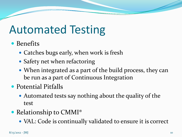# Automated Testing

- Benefits
	- Catches bugs early, when work is fresh
	- Safety net when refactoring
	- When integrated as a part of the build process, they can be run as a part of Continuous Integration
- Potential Pitfalls
	- Automated tests say nothing about the quality of the test
- Relationship to CMMI®
	- VAL: Code is continually validated to ensure it is correct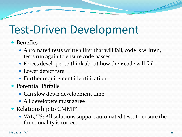### Test-Driven Development

#### **•** Benefits

- Automated tests written first that will fail, code is written, tests run again to ensure code passes
- Forces developer to think about how their code will fail
- Lower defect rate
- Further requirement identification
- Potential Pitfalls
	- Can slow down development time
	- All developers must agree
- Relationship to CMMI<sup>®</sup>
	- VAL, TS: All solutions support automated tests to ensure the functionality is correct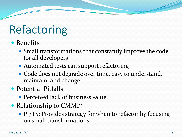# Refactoring

- Benefits
	- Small transformations that constantly improve the code for all developers
	- Automated tests can support refactoring
	- Code does not degrade over time, easy to understand, maintain, and change
- Potential Pitfalls
	- Perceived lack of business value
- Relationship to CMMI<sup>®</sup>
	- PI/TS: Provides strategy for when to refactor by focusing on small transformations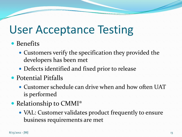### User Acceptance Testing

- Benefits
	- Customers verify the specification they provided the developers has been met
	- Defects identified and fixed prior to release
- Potential Pitfalls
	- Customer schedule can drive when and how often UAT is performed
- Relationship to CMMI<sup>®</sup>
	- VAL: Customer validates product frequently to ensure business requirements are met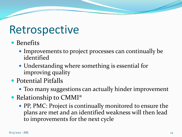### Retrospective

- Benefits
	- Improvements to project processes can continually be identified
	- Understanding where something is essential for improving quality
- Potential Pitfalls
	- Too many suggestions can actually hinder improvement
- Relationship to CMMI®
	- PP, PMC: Project is continually monitored to ensure the plans are met and an identified weakness will then lead to improvements for the next cycle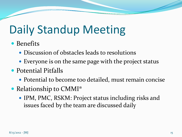# Daily Standup Meeting

- Benefits
	- Discussion of obstacles leads to resolutions
	- Everyone is on the same page with the project status
- Potential Pitfalls
	- Potential to become too detailed, must remain concise
- Relationship to CMMI<sup>®</sup>
	- IPM, PMC, RSKM: Project status including risks and issues faced by the team are discussed daily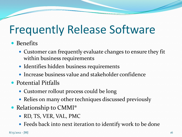# Frequently Release Software

#### • Benefits

- Customer can frequently evaluate changes to ensure they fit within business requirements
- Identifies hidden business requirements
- Increase business value and stakeholder confidence
- Potential Pitfalls
	- Customer rollout process could be long
	- Relies on many other techniques discussed previously
- Relationship to CMMI<sup>®</sup>
	- RD, TS, VER, VAL, PMC
	- Feeds back into next iteration to identify work to be done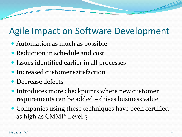### Agile Impact on Software Development

- Automation as much as possible
- Reduction in schedule and cost
- Issues identified earlier in all processes
- Increased customer satisfaction
- Decrease defects
- Introduces more checkpoints where new customer requirements can be added – drives business value
- Companies using these techniques have been certified as high as CMMI® Level 5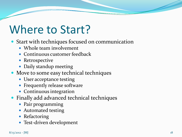# Where to Start?

- Start with techniques focused on communication
	- Whole team involvement
	- Continuous customer feedback
	- Retrospective
	- Daily standup meeting
- Move to some easy technical techniques
	- User acceptance testing
	- Frequently release software
	- Continuous integration
- Finally add advanced technical techniques
	- Pair programming
	- Automated testing
	- Refactoring
	- Test-driven development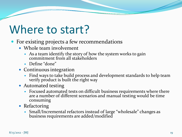### Where to start?

- For existing projects a few recommendations
	- Whole team involvement
		- As a team identify the story of how the system works to gain commitment from all stakeholders
		- Define "done"
	- Continuous integration
		- Find ways to take build process and development standards to help team verify product is built the right way
	- Automated testing
		- Focused automated tests on difficult business requirements where there are a number of different scenarios and manual testing would be time consuming
	- Refactoring
		- Small/Incremental refactors instead of large "wholesale" changes as business requirements are added/modified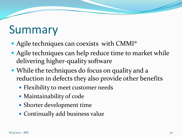### Summary

- Agile techniques can coexists with CMMI®
- Agile techniques can help reduce time to market while delivering higher-quality software
- While the techniques do focus on quality and a reduction in defects they also provide other benefits
	- Flexibility to meet customer needs
	- Maintainability of code
	- Shorter development time
	- Continually add business value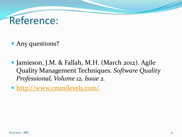### Reference:

• Any questions?

- Jamieson, J.M. & Fallah, M.H. (March 2012). Agile Quality Management Techniques. *Software Quality Professional, Volume 12, Issue 2.*
- <http://www.cmmilevels.com/>